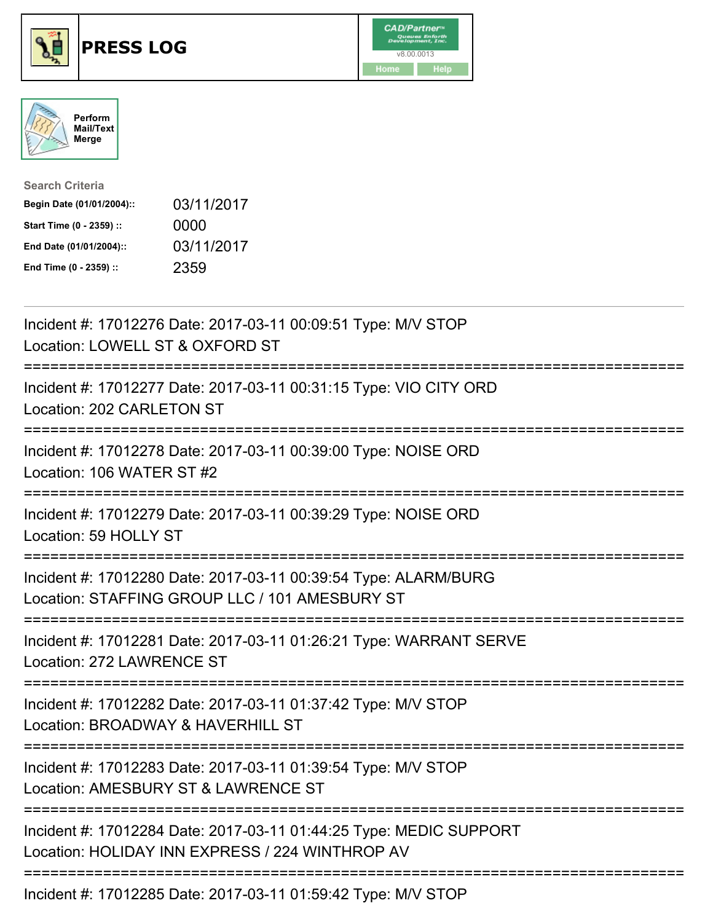





| <b>Search Criteria</b>    |            |
|---------------------------|------------|
| Begin Date (01/01/2004):: | 03/11/2017 |
| Start Time (0 - 2359) ::  | 0000       |
| End Date (01/01/2004)::   | 03/11/2017 |
| End Time (0 - 2359) ::    | 2359       |

| Incident #: 17012276 Date: 2017-03-11 00:09:51 Type: M/V STOP<br>Location: LOWELL ST & OXFORD ST                                                                    |
|---------------------------------------------------------------------------------------------------------------------------------------------------------------------|
| Incident #: 17012277 Date: 2017-03-11 00:31:15 Type: VIO CITY ORD<br>Location: 202 CARLETON ST                                                                      |
| Incident #: 17012278 Date: 2017-03-11 00:39:00 Type: NOISE ORD<br>Location: 106 WATER ST #2                                                                         |
| Incident #: 17012279 Date: 2017-03-11 00:39:29 Type: NOISE ORD<br>Location: 59 HOLLY ST                                                                             |
| Incident #: 17012280 Date: 2017-03-11 00:39:54 Type: ALARM/BURG<br>Location: STAFFING GROUP LLC / 101 AMESBURY ST<br>;======================<br>------------------- |
| Incident #: 17012281 Date: 2017-03-11 01:26:21 Type: WARRANT SERVE<br>Location: 272 LAWRENCE ST<br>.-----------------------------------                             |
| Incident #: 17012282 Date: 2017-03-11 01:37:42 Type: M/V STOP<br>Location: BROADWAY & HAVERHILL ST                                                                  |
| Incident #: 17012283 Date: 2017-03-11 01:39:54 Type: M/V STOP<br>Location: AMESBURY ST & LAWRENCE ST<br>------------------------------                              |
| Incident #: 17012284 Date: 2017-03-11 01:44:25 Type: MEDIC SUPPORT<br>Location: HOLIDAY INN EXPRESS / 224 WINTHROP AV                                               |
| Incident #: 17012285 Date: 2017-03-11 01:59:42 Type: M/V STOP                                                                                                       |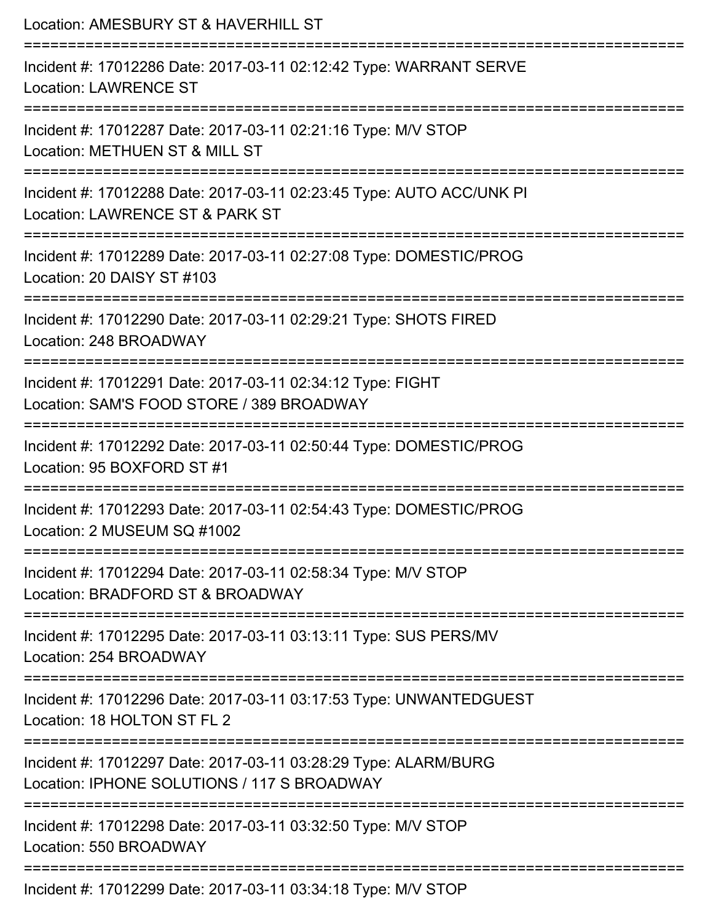| Location: AMESBURY ST & HAVERHILL ST<br>========================                                                                    |
|-------------------------------------------------------------------------------------------------------------------------------------|
| Incident #: 17012286 Date: 2017-03-11 02:12:42 Type: WARRANT SERVE<br><b>Location: LAWRENCE ST</b>                                  |
| Incident #: 17012287 Date: 2017-03-11 02:21:16 Type: M/V STOP<br>Location: METHUEN ST & MILL ST                                     |
| Incident #: 17012288 Date: 2017-03-11 02:23:45 Type: AUTO ACC/UNK PI<br>Location: LAWRENCE ST & PARK ST<br>:======================= |
| Incident #: 17012289 Date: 2017-03-11 02:27:08 Type: DOMESTIC/PROG<br>Location: 20 DAISY ST #103                                    |
| Incident #: 17012290 Date: 2017-03-11 02:29:21 Type: SHOTS FIRED<br>Location: 248 BROADWAY                                          |
| Incident #: 17012291 Date: 2017-03-11 02:34:12 Type: FIGHT<br>Location: SAM'S FOOD STORE / 389 BROADWAY                             |
| Incident #: 17012292 Date: 2017-03-11 02:50:44 Type: DOMESTIC/PROG<br>Location: 95 BOXFORD ST #1                                    |
| Incident #: 17012293 Date: 2017-03-11 02:54:43 Type: DOMESTIC/PROG<br>Location: 2 MUSEUM SQ #1002                                   |
| Incident #: 17012294 Date: 2017-03-11 02:58:34 Type: M/V STOP<br>Location: BRADFORD ST & BROADWAY                                   |
| Incident #: 17012295 Date: 2017-03-11 03:13:11 Type: SUS PERS/MV<br>Location: 254 BROADWAY                                          |
| Incident #: 17012296 Date: 2017-03-11 03:17:53 Type: UNWANTEDGUEST<br>Location: 18 HOLTON ST FL 2                                   |
| Incident #: 17012297 Date: 2017-03-11 03:28:29 Type: ALARM/BURG<br>Location: IPHONE SOLUTIONS / 117 S BROADWAY                      |
| Incident #: 17012298 Date: 2017-03-11 03:32:50 Type: M/V STOP<br>Location: 550 BROADWAY                                             |
| Incident #: 17012200 Date: 2017-03-11 03:34:18 Type: MAI STOD                                                                       |

Incident #: 17012299 Date: 2017-03-11 03:34:18 Type: M/V STOP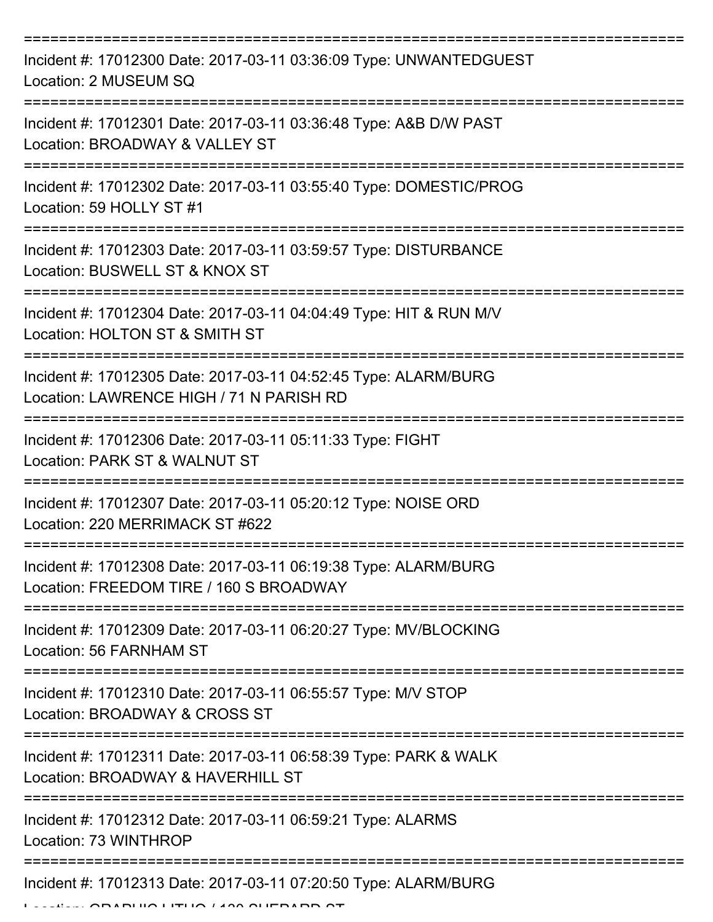| Incident #: 17012300 Date: 2017-03-11 03:36:09 Type: UNWANTEDGUEST<br>Location: 2 MUSEUM SQ                 |
|-------------------------------------------------------------------------------------------------------------|
| Incident #: 17012301 Date: 2017-03-11 03:36:48 Type: A&B D/W PAST<br>Location: BROADWAY & VALLEY ST         |
| Incident #: 17012302 Date: 2017-03-11 03:55:40 Type: DOMESTIC/PROG<br>Location: 59 HOLLY ST #1              |
| Incident #: 17012303 Date: 2017-03-11 03:59:57 Type: DISTURBANCE<br>Location: BUSWELL ST & KNOX ST          |
| Incident #: 17012304 Date: 2017-03-11 04:04:49 Type: HIT & RUN M/V<br>Location: HOLTON ST & SMITH ST        |
| Incident #: 17012305 Date: 2017-03-11 04:52:45 Type: ALARM/BURG<br>Location: LAWRENCE HIGH / 71 N PARISH RD |
| Incident #: 17012306 Date: 2017-03-11 05:11:33 Type: FIGHT<br>Location: PARK ST & WALNUT ST                 |
| Incident #: 17012307 Date: 2017-03-11 05:20:12 Type: NOISE ORD<br>Location: 220 MERRIMACK ST #622           |
| Incident #: 17012308 Date: 2017-03-11 06:19:38 Type: ALARM/BURG<br>Location: FREEDOM TIRE / 160 S BROADWAY  |
| Incident #: 17012309 Date: 2017-03-11 06:20:27 Type: MV/BLOCKING<br>Location: 56 FARNHAM ST                 |
| Incident #: 17012310 Date: 2017-03-11 06:55:57 Type: M/V STOP<br>Location: BROADWAY & CROSS ST              |
| Incident #: 17012311 Date: 2017-03-11 06:58:39 Type: PARK & WALK<br>Location: BROADWAY & HAVERHILL ST       |
| Incident #: 17012312 Date: 2017-03-11 06:59:21 Type: ALARMS<br>Location: 73 WINTHROP                        |
| Incident #: 17012313 Date: 2017-03-11 07:20:50 Type: ALARM/BURG                                             |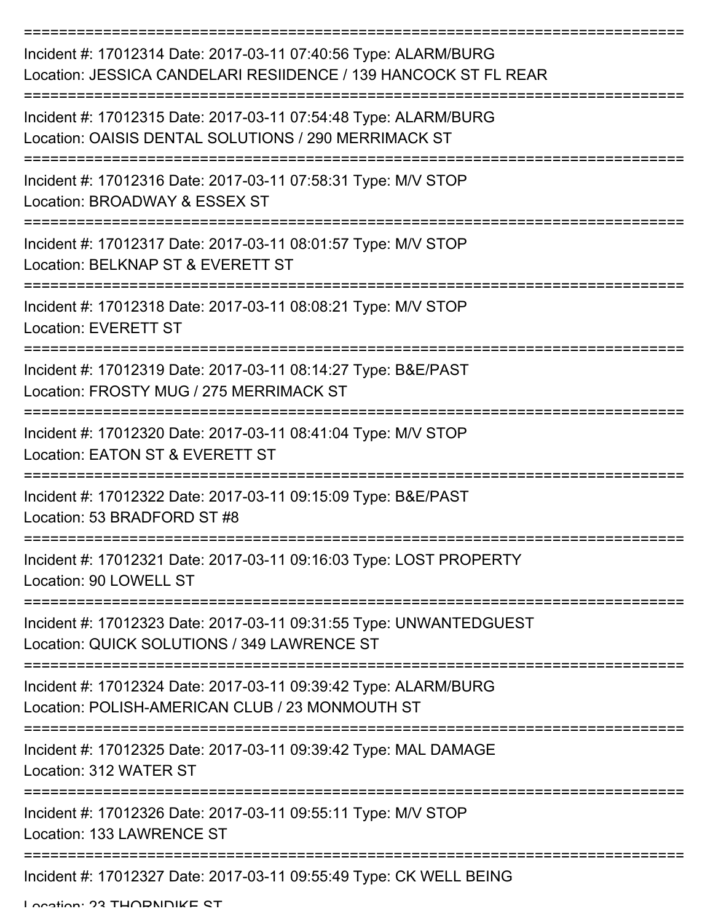| Incident #: 17012314 Date: 2017-03-11 07:40:56 Type: ALARM/BURG<br>Location: JESSICA CANDELARI RESIIDENCE / 139 HANCOCK ST FL REAR |
|------------------------------------------------------------------------------------------------------------------------------------|
| Incident #: 17012315 Date: 2017-03-11 07:54:48 Type: ALARM/BURG<br>Location: OAISIS DENTAL SOLUTIONS / 290 MERRIMACK ST            |
| Incident #: 17012316 Date: 2017-03-11 07:58:31 Type: M/V STOP<br>Location: BROADWAY & ESSEX ST                                     |
| Incident #: 17012317 Date: 2017-03-11 08:01:57 Type: M/V STOP<br>Location: BELKNAP ST & EVERETT ST                                 |
| Incident #: 17012318 Date: 2017-03-11 08:08:21 Type: M/V STOP<br><b>Location: EVERETT ST</b>                                       |
| Incident #: 17012319 Date: 2017-03-11 08:14:27 Type: B&E/PAST<br>Location: FROSTY MUG / 275 MERRIMACK ST                           |
| Incident #: 17012320 Date: 2017-03-11 08:41:04 Type: M/V STOP<br>Location: EATON ST & EVERETT ST                                   |
| Incident #: 17012322 Date: 2017-03-11 09:15:09 Type: B&E/PAST<br>Location: 53 BRADFORD ST #8                                       |
| Incident #: 17012321 Date: 2017-03-11 09:16:03 Type: LOST PROPERTY<br>Location: 90 LOWELL ST                                       |
| Incident #: 17012323 Date: 2017-03-11 09:31:55 Type: UNWANTEDGUEST<br>Location: QUICK SOLUTIONS / 349 LAWRENCE ST                  |
| Incident #: 17012324 Date: 2017-03-11 09:39:42 Type: ALARM/BURG<br>Location: POLISH-AMERICAN CLUB / 23 MONMOUTH ST                 |
| Incident #: 17012325 Date: 2017-03-11 09:39:42 Type: MAL DAMAGE<br>Location: 312 WATER ST                                          |
| Incident #: 17012326 Date: 2017-03-11 09:55:11 Type: M/V STOP<br>Location: 133 LAWRENCE ST                                         |
| Incident #: 17012327 Date: 2017-03-11 09:55:49 Type: CK WELL BEING                                                                 |

Location: 23 THORNDIKE ST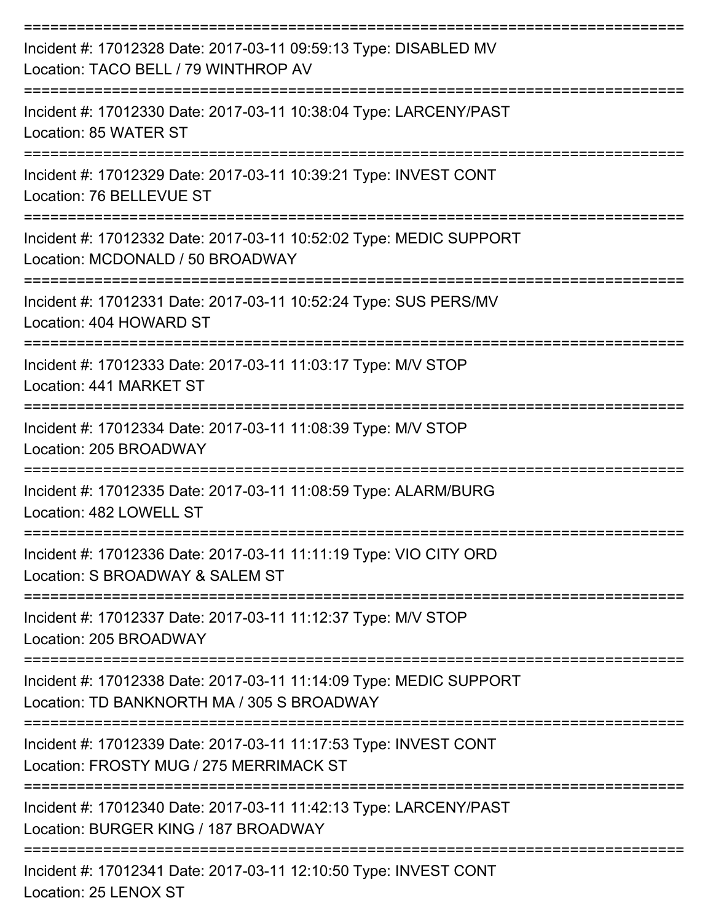| Incident #: 17012328 Date: 2017-03-11 09:59:13 Type: DISABLED MV<br>Location: TACO BELL / 79 WINTHROP AV         |
|------------------------------------------------------------------------------------------------------------------|
| Incident #: 17012330 Date: 2017-03-11 10:38:04 Type: LARCENY/PAST<br>Location: 85 WATER ST                       |
| Incident #: 17012329 Date: 2017-03-11 10:39:21 Type: INVEST CONT<br>Location: 76 BELLEVUE ST                     |
| Incident #: 17012332 Date: 2017-03-11 10:52:02 Type: MEDIC SUPPORT<br>Location: MCDONALD / 50 BROADWAY           |
| Incident #: 17012331 Date: 2017-03-11 10:52:24 Type: SUS PERS/MV<br>Location: 404 HOWARD ST                      |
| Incident #: 17012333 Date: 2017-03-11 11:03:17 Type: M/V STOP<br>Location: 441 MARKET ST                         |
| Incident #: 17012334 Date: 2017-03-11 11:08:39 Type: M/V STOP<br>Location: 205 BROADWAY                          |
| Incident #: 17012335 Date: 2017-03-11 11:08:59 Type: ALARM/BURG<br>Location: 482 LOWELL ST                       |
| Incident #: 17012336 Date: 2017-03-11 11:11:19 Type: VIO CITY ORD<br>Location: S BROADWAY & SALEM ST             |
| Incident #: 17012337 Date: 2017-03-11 11:12:37 Type: M/V STOP<br>Location: 205 BROADWAY                          |
| Incident #: 17012338 Date: 2017-03-11 11:14:09 Type: MEDIC SUPPORT<br>Location: TD BANKNORTH MA / 305 S BROADWAY |
| Incident #: 17012339 Date: 2017-03-11 11:17:53 Type: INVEST CONT<br>Location: FROSTY MUG / 275 MERRIMACK ST      |
| Incident #: 17012340 Date: 2017-03-11 11:42:13 Type: LARCENY/PAST<br>Location: BURGER KING / 187 BROADWAY        |
| --------------------------------------<br>Incident #: 17012341 Date: 2017-03-11 12:10:50 Type: INVEST CONT       |

Location: 25 LENOX ST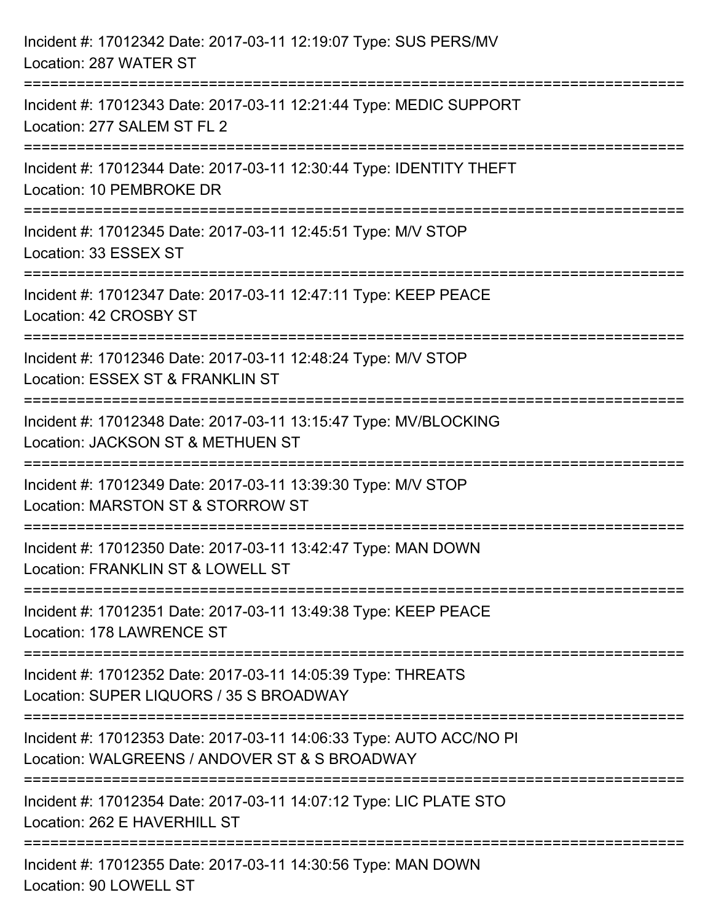| Incident #: 17012342 Date: 2017-03-11 12:19:07 Type: SUS PERS/MV<br>Location: 287 WATER ST                                                                                    |
|-------------------------------------------------------------------------------------------------------------------------------------------------------------------------------|
| =====================================<br>-------------------------------<br>Incident #: 17012343 Date: 2017-03-11 12:21:44 Type: MEDIC SUPPORT<br>Location: 277 SALEM ST FL 2 |
| Incident #: 17012344 Date: 2017-03-11 12:30:44 Type: IDENTITY THEFT<br>Location: 10 PEMBROKE DR                                                                               |
| Incident #: 17012345 Date: 2017-03-11 12:45:51 Type: M/V STOP<br>Location: 33 ESSEX ST                                                                                        |
| Incident #: 17012347 Date: 2017-03-11 12:47:11 Type: KEEP PEACE<br>Location: 42 CROSBY ST                                                                                     |
| Incident #: 17012346 Date: 2017-03-11 12:48:24 Type: M/V STOP<br>Location: ESSEX ST & FRANKLIN ST                                                                             |
| Incident #: 17012348 Date: 2017-03-11 13:15:47 Type: MV/BLOCKING<br>Location: JACKSON ST & METHUEN ST                                                                         |
| Incident #: 17012349 Date: 2017-03-11 13:39:30 Type: M/V STOP<br>Location: MARSTON ST & STORROW ST                                                                            |
| Incident #: 17012350 Date: 2017-03-11 13:42:47 Type: MAN DOWN<br>Location: FRANKLIN ST & LOWELL ST                                                                            |
| Incident #: 17012351 Date: 2017-03-11 13:49:38 Type: KEEP PEACE<br>Location: 178 LAWRENCE ST                                                                                  |
| Incident #: 17012352 Date: 2017-03-11 14:05:39 Type: THREATS<br>Location: SUPER LIQUORS / 35 S BROADWAY                                                                       |
| Incident #: 17012353 Date: 2017-03-11 14:06:33 Type: AUTO ACC/NO PI<br>Location: WALGREENS / ANDOVER ST & S BROADWAY                                                          |
| Incident #: 17012354 Date: 2017-03-11 14:07:12 Type: LIC PLATE STO<br>Location: 262 E HAVERHILL ST                                                                            |
| Incident #: 17012355 Date: 2017-03-11 14:30:56 Type: MAN DOWN<br>Location: 90 LOWELL ST                                                                                       |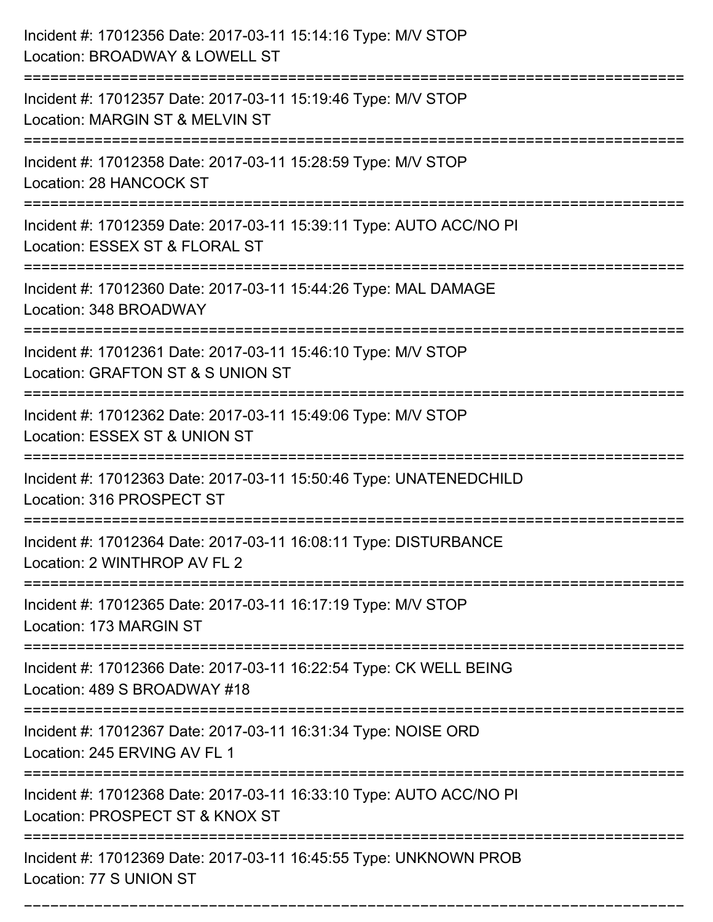| Incident #: 17012356 Date: 2017-03-11 15:14:16 Type: M/V STOP<br>Location: BROADWAY & LOWELL ST        |
|--------------------------------------------------------------------------------------------------------|
| Incident #: 17012357 Date: 2017-03-11 15:19:46 Type: M/V STOP<br>Location: MARGIN ST & MELVIN ST       |
| Incident #: 17012358 Date: 2017-03-11 15:28:59 Type: M/V STOP<br>Location: 28 HANCOCK ST               |
| Incident #: 17012359 Date: 2017-03-11 15:39:11 Type: AUTO ACC/NO PI<br>Location: ESSEX ST & FLORAL ST  |
| Incident #: 17012360 Date: 2017-03-11 15:44:26 Type: MAL DAMAGE<br>Location: 348 BROADWAY              |
| Incident #: 17012361 Date: 2017-03-11 15:46:10 Type: M/V STOP<br>Location: GRAFTON ST & S UNION ST     |
| Incident #: 17012362 Date: 2017-03-11 15:49:06 Type: M/V STOP<br>Location: ESSEX ST & UNION ST         |
| Incident #: 17012363 Date: 2017-03-11 15:50:46 Type: UNATENEDCHILD<br>Location: 316 PROSPECT ST        |
| Incident #: 17012364 Date: 2017-03-11 16:08:11 Type: DISTURBANCE<br>Location: 2 WINTHROP AV FL 2       |
| Incident #: 17012365 Date: 2017-03-11 16:17:19 Type: M/V STOP<br>Location: 173 MARGIN ST               |
| Incident #: 17012366 Date: 2017-03-11 16:22:54 Type: CK WELL BEING<br>Location: 489 S BROADWAY #18     |
| Incident #: 17012367 Date: 2017-03-11 16:31:34 Type: NOISE ORD<br>Location: 245 ERVING AV FL 1         |
| Incident #: 17012368 Date: 2017-03-11 16:33:10 Type: AUTO ACC/NO PI<br>Location: PROSPECT ST & KNOX ST |
| Incident #: 17012369 Date: 2017-03-11 16:45:55 Type: UNKNOWN PROB<br>Location: 77 S UNION ST           |

===========================================================================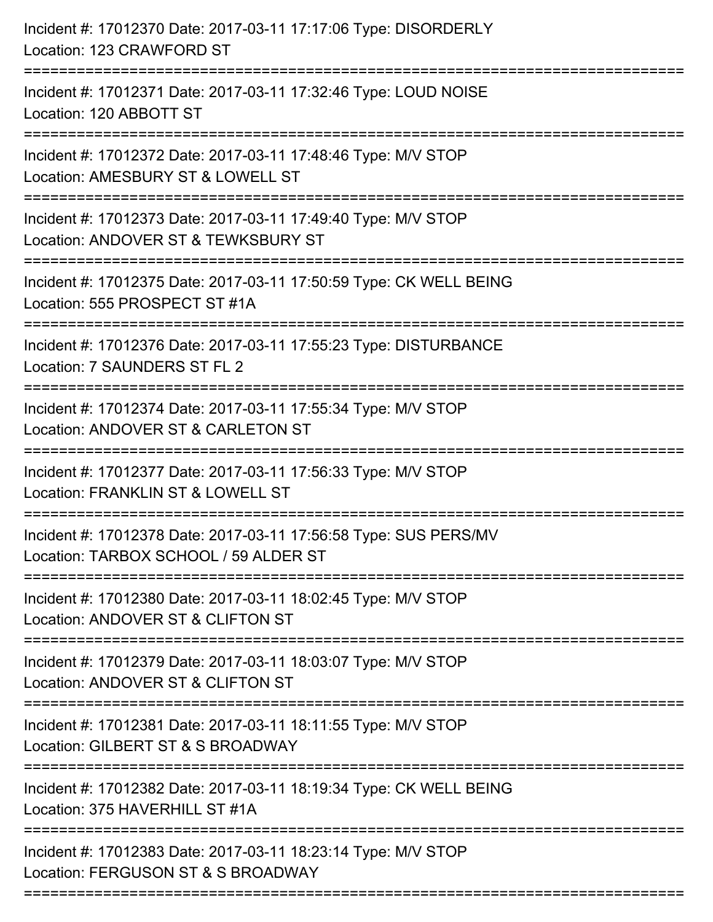| Incident #: 17012370 Date: 2017-03-11 17:17:06 Type: DISORDERLY<br>Location: 123 CRAWFORD ST                                         |
|--------------------------------------------------------------------------------------------------------------------------------------|
| Incident #: 17012371 Date: 2017-03-11 17:32:46 Type: LOUD NOISE<br>Location: 120 ABBOTT ST                                           |
| Incident #: 17012372 Date: 2017-03-11 17:48:46 Type: M/V STOP<br>Location: AMESBURY ST & LOWELL ST<br>:============================= |
| Incident #: 17012373 Date: 2017-03-11 17:49:40 Type: M/V STOP<br>Location: ANDOVER ST & TEWKSBURY ST                                 |
| Incident #: 17012375 Date: 2017-03-11 17:50:59 Type: CK WELL BEING<br>Location: 555 PROSPECT ST #1A                                  |
| Incident #: 17012376 Date: 2017-03-11 17:55:23 Type: DISTURBANCE<br>Location: 7 SAUNDERS ST FL 2                                     |
| Incident #: 17012374 Date: 2017-03-11 17:55:34 Type: M/V STOP<br>Location: ANDOVER ST & CARLETON ST<br>=================             |
| Incident #: 17012377 Date: 2017-03-11 17:56:33 Type: M/V STOP<br>Location: FRANKLIN ST & LOWELL ST                                   |
| Incident #: 17012378 Date: 2017-03-11 17:56:58 Type: SUS PERS/MV<br>Location: TARBOX SCHOOL / 59 ALDER ST                            |
| Incident #: 17012380 Date: 2017-03-11 18:02:45 Type: M/V STOP<br>Location: ANDOVER ST & CLIFTON ST                                   |
| Incident #: 17012379 Date: 2017-03-11 18:03:07 Type: M/V STOP<br>Location: ANDOVER ST & CLIFTON ST                                   |
| Incident #: 17012381 Date: 2017-03-11 18:11:55 Type: M/V STOP<br>Location: GILBERT ST & S BROADWAY                                   |
| Incident #: 17012382 Date: 2017-03-11 18:19:34 Type: CK WELL BEING<br>Location: 375 HAVERHILL ST #1A                                 |
| Incident #: 17012383 Date: 2017-03-11 18:23:14 Type: M/V STOP<br>Location: FERGUSON ST & S BROADWAY                                  |
|                                                                                                                                      |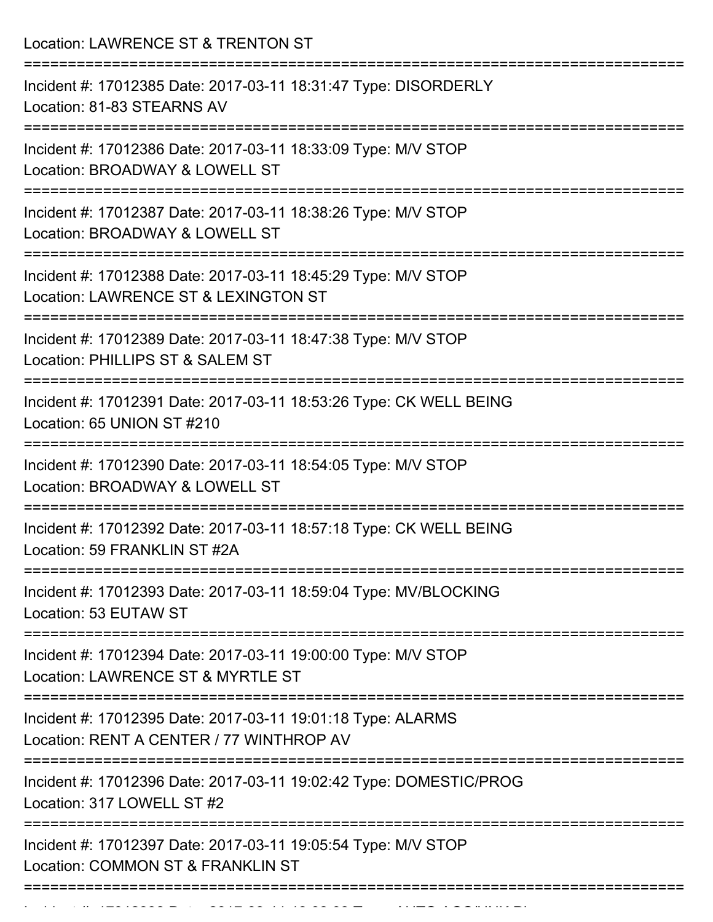| Incident #: 17012385 Date: 2017-03-11 18:31:47 Type: DISORDERLY                                         |
|---------------------------------------------------------------------------------------------------------|
| Location: 81-83 STEARNS AV                                                                              |
| Incident #: 17012386 Date: 2017-03-11 18:33:09 Type: M/V STOP<br>Location: BROADWAY & LOWELL ST         |
| Incident #: 17012387 Date: 2017-03-11 18:38:26 Type: M/V STOP<br>Location: BROADWAY & LOWELL ST         |
| Incident #: 17012388 Date: 2017-03-11 18:45:29 Type: M/V STOP<br>Location: LAWRENCE ST & LEXINGTON ST   |
| Incident #: 17012389 Date: 2017-03-11 18:47:38 Type: M/V STOP<br>Location: PHILLIPS ST & SALEM ST       |
| Incident #: 17012391 Date: 2017-03-11 18:53:26 Type: CK WELL BEING<br>Location: 65 UNION ST #210        |
| Incident #: 17012390 Date: 2017-03-11 18:54:05 Type: M/V STOP<br>Location: BROADWAY & LOWELL ST         |
| Incident #: 17012392 Date: 2017-03-11 18:57:18 Type: CK WELL BEING<br>Location: 59 FRANKLIN ST #2A      |
| Incident #: 17012393 Date: 2017-03-11 18:59:04 Type: MV/BLOCKING<br>Location: 53 EUTAW ST               |
| Incident #: 17012394 Date: 2017-03-11 19:00:00 Type: M/V STOP<br>Location: LAWRENCE ST & MYRTLE ST      |
| Incident #: 17012395 Date: 2017-03-11 19:01:18 Type: ALARMS<br>Location: RENT A CENTER / 77 WINTHROP AV |
| Incident #: 17012396 Date: 2017-03-11 19:02:42 Type: DOMESTIC/PROG<br>Location: 317 LOWELL ST #2        |
| Incident #: 17012397 Date: 2017-03-11 19:05:54 Type: M/V STOP<br>Location: COMMON ST & FRANKLIN ST      |

Incident #: 17012398 Date: 2017 03 11 19:08:03 Type: 2017 03 12:08:04:03 Type: AUTO ACC/UNK PI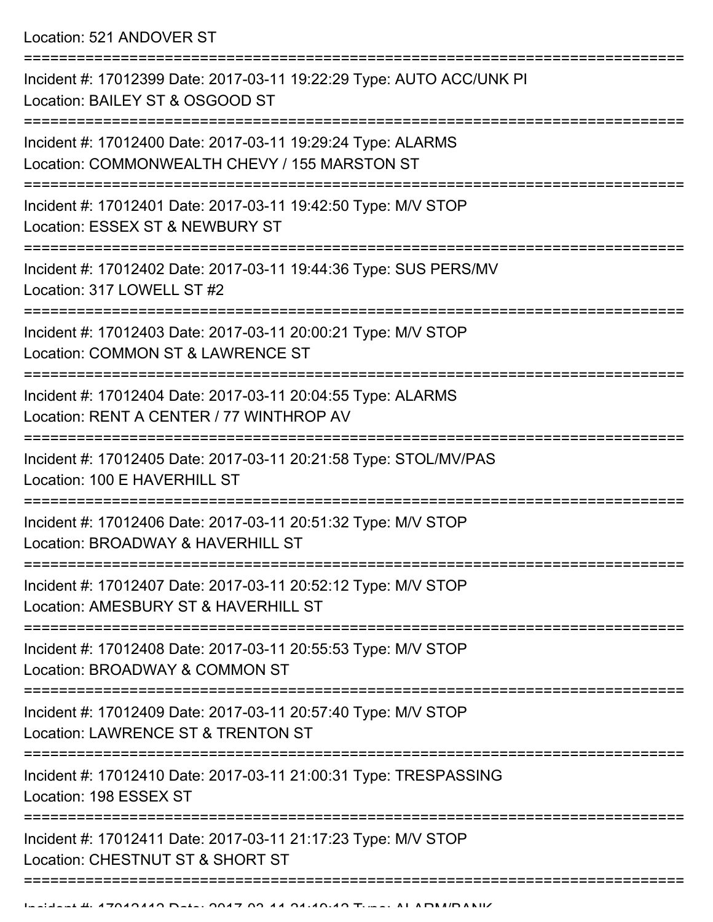Location: 521 ANDOVER ST

| Incident #: 17012399 Date: 2017-03-11 19:22:29 Type: AUTO ACC/UNK PI<br>Location: BAILEY ST & OSGOOD ST                     |
|-----------------------------------------------------------------------------------------------------------------------------|
| Incident #: 17012400 Date: 2017-03-11 19:29:24 Type: ALARMS<br>Location: COMMONWEALTH CHEVY / 155 MARSTON ST                |
| Incident #: 17012401 Date: 2017-03-11 19:42:50 Type: M/V STOP<br>Location: ESSEX ST & NEWBURY ST                            |
| Incident #: 17012402 Date: 2017-03-11 19:44:36 Type: SUS PERS/MV<br>Location: 317 LOWELL ST #2                              |
| Incident #: 17012403 Date: 2017-03-11 20:00:21 Type: M/V STOP<br>Location: COMMON ST & LAWRENCE ST                          |
| :===============<br>Incident #: 17012404 Date: 2017-03-11 20:04:55 Type: ALARMS<br>Location: RENT A CENTER / 77 WINTHROP AV |
| Incident #: 17012405 Date: 2017-03-11 20:21:58 Type: STOL/MV/PAS<br>Location: 100 E HAVERHILL ST                            |
| Incident #: 17012406 Date: 2017-03-11 20:51:32 Type: M/V STOP<br>Location: BROADWAY & HAVERHILL ST                          |
| Incident #: 17012407 Date: 2017-03-11 20:52:12 Type: M/V STOP<br>Location: AMESBURY ST & HAVERHILL ST                       |
| Incident #: 17012408 Date: 2017-03-11 20:55:53 Type: M/V STOP<br>Location: BROADWAY & COMMON ST                             |
| Incident #: 17012409 Date: 2017-03-11 20:57:40 Type: M/V STOP<br>Location: LAWRENCE ST & TRENTON ST                         |
| Incident #: 17012410 Date: 2017-03-11 21:00:31 Type: TRESPASSING<br>Location: 198 ESSEX ST                                  |
| Incident #: 17012411 Date: 2017-03-11 21:17:23 Type: M/V STOP<br>Location: CHESTNUT ST & SHORT ST                           |
|                                                                                                                             |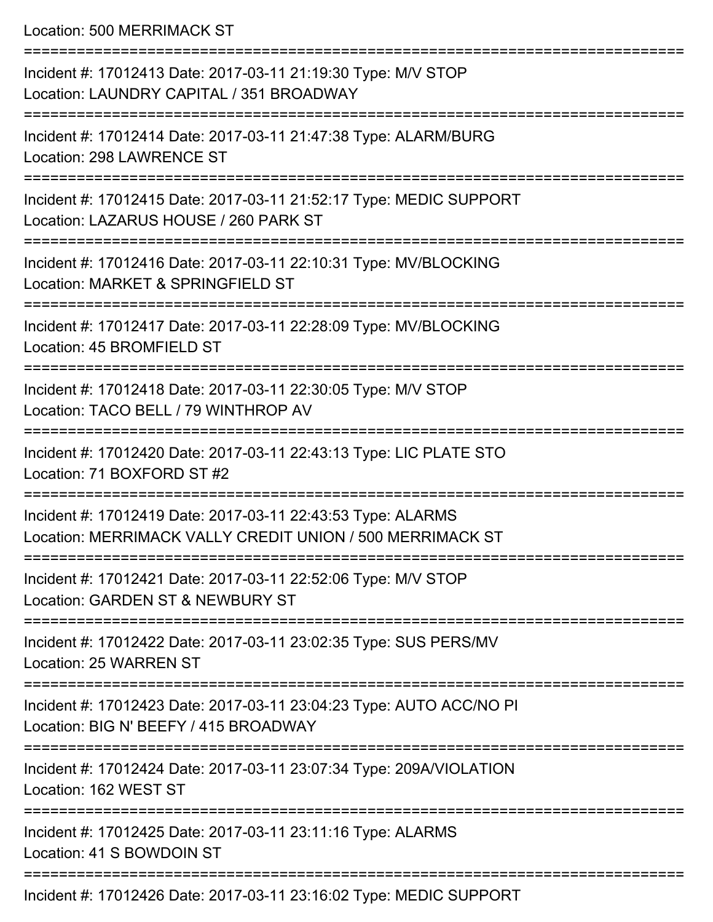Location: 500 MERRIMACK ST

| Incident #: 17012413 Date: 2017-03-11 21:19:30 Type: M/V STOP<br>Location: LAUNDRY CAPITAL / 351 BROADWAY                |
|--------------------------------------------------------------------------------------------------------------------------|
| Incident #: 17012414 Date: 2017-03-11 21:47:38 Type: ALARM/BURG<br>Location: 298 LAWRENCE ST                             |
| Incident #: 17012415 Date: 2017-03-11 21:52:17 Type: MEDIC SUPPORT<br>Location: LAZARUS HOUSE / 260 PARK ST              |
| Incident #: 17012416 Date: 2017-03-11 22:10:31 Type: MV/BLOCKING<br>Location: MARKET & SPRINGFIELD ST                    |
| Incident #: 17012417 Date: 2017-03-11 22:28:09 Type: MV/BLOCKING<br>Location: 45 BROMFIELD ST                            |
| Incident #: 17012418 Date: 2017-03-11 22:30:05 Type: M/V STOP<br>Location: TACO BELL / 79 WINTHROP AV                    |
| :==============<br>Incident #: 17012420 Date: 2017-03-11 22:43:13 Type: LIC PLATE STO<br>Location: 71 BOXFORD ST #2      |
| Incident #: 17012419 Date: 2017-03-11 22:43:53 Type: ALARMS<br>Location: MERRIMACK VALLY CREDIT UNION / 500 MERRIMACK ST |
| Incident #: 17012421 Date: 2017-03-11 22:52:06 Type: M/V STOP<br>Location: GARDEN ST & NEWBURY ST                        |
| Incident #: 17012422 Date: 2017-03-11 23:02:35 Type: SUS PERS/MV<br>Location: 25 WARREN ST                               |
| Incident #: 17012423 Date: 2017-03-11 23:04:23 Type: AUTO ACC/NO PI<br>Location: BIG N' BEEFY / 415 BROADWAY             |
| Incident #: 17012424 Date: 2017-03-11 23:07:34 Type: 209A/VIOLATION<br>Location: 162 WEST ST                             |
| Incident #: 17012425 Date: 2017-03-11 23:11:16 Type: ALARMS<br>Location: 41 S BOWDOIN ST                                 |
| Incident #: 17012426 Date: 2017-03-11 23:16:02 Type: MEDIC SUPPORT                                                       |